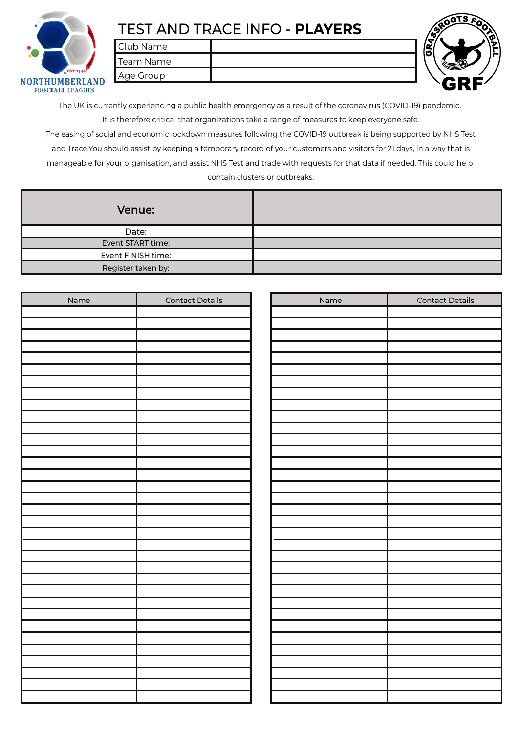

## TEST AND TRACE INFO - **PLAYERS**

Club Name



Team Name Age Group

The UK is currently experiencing a public health emergency as a result of the coronavirus (COVID-19) pandemic. It is therefore critical that organizations take a range of measures to keep everyone safe.

The easing of social and economic lockdown measures following the COVID-19 outbreak is being supported by NHS Test and Trace.You should assist by keeping a temporary record of your customers and visitors for 21 days, in a way that is manageable for your organisation, and assist NHS Test and trade with requests for that data if needed. This could help contain clusters or outbreaks.

| <b>Venue:</b>      |  |
|--------------------|--|
| Date:              |  |
| Event START time:  |  |
| Event FINISH time: |  |
| Register taken by: |  |

| Name | <b>Contact Details</b> | Name | <b>Contact Details</b> |
|------|------------------------|------|------------------------|
|      |                        |      |                        |
|      |                        |      |                        |
|      |                        |      |                        |
|      |                        |      |                        |
|      |                        |      |                        |
|      |                        |      |                        |
|      |                        |      |                        |
|      |                        |      |                        |
|      |                        |      |                        |
|      |                        |      |                        |
|      |                        |      |                        |
|      |                        |      |                        |
|      |                        |      |                        |
|      |                        |      |                        |
|      |                        |      |                        |
|      |                        |      |                        |
|      |                        |      |                        |
|      |                        |      |                        |
|      |                        |      |                        |
|      |                        |      |                        |
|      |                        |      |                        |
|      |                        |      |                        |
|      |                        |      |                        |
|      |                        |      |                        |
|      |                        |      |                        |
|      |                        |      |                        |
|      |                        |      |                        |
|      |                        |      |                        |
|      |                        |      |                        |
|      |                        |      |                        |
|      |                        |      |                        |
|      |                        |      |                        |
|      |                        |      |                        |
|      |                        |      |                        |
|      |                        |      |                        |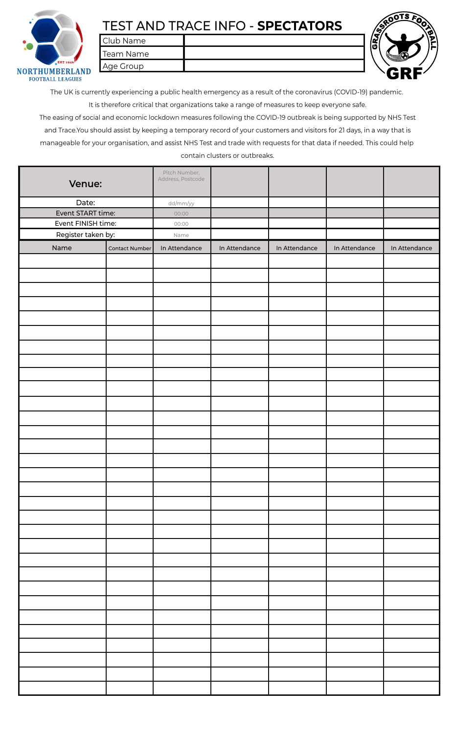

## TEST AND TRACE INFO - **SPECTATORS**

Club Name

Team Name Age Group



The UK is currently experiencing a public health emergency as a result of the coronavirus (COVID-19) pandemic. It is therefore critical that organizations take a range of measures to keep everyone safe.

The easing of social and economic lockdown measures following the COVID-19 outbreak is being supported by NHS Test and Trace.You should assist by keeping a temporary record of your customers and visitors for 21 days, in a way that is manageable for your organisation, and assist NHS Test and trade with requests for that data if needed. This could help contain clusters or outbreaks.

| Venue:             |                | Pitch Number,<br>Address, Postcode |               |               |               |               |
|--------------------|----------------|------------------------------------|---------------|---------------|---------------|---------------|
| Date:              |                | dd/mm/yy                           |               |               |               |               |
| Event START time:  |                | 00:00                              |               |               |               |               |
| Event FINISH time: |                | 00:00                              |               |               |               |               |
| Register taken by: |                | Name                               |               |               |               |               |
|                    |                |                                    |               |               |               |               |
| Name               | Contact Number | In Attendance                      | In Attendance | In Attendance | In Attendance | In Attendance |
|                    |                |                                    |               |               |               |               |
|                    |                |                                    |               |               |               |               |
|                    |                |                                    |               |               |               |               |
|                    |                |                                    |               |               |               |               |
|                    |                |                                    |               |               |               |               |
|                    |                |                                    |               |               |               |               |
|                    |                |                                    |               |               |               |               |
|                    |                |                                    |               |               |               |               |
|                    |                |                                    |               |               |               |               |
|                    |                |                                    |               |               |               |               |
|                    |                |                                    |               |               |               |               |
|                    |                |                                    |               |               |               |               |
|                    |                |                                    |               |               |               |               |
|                    |                |                                    |               |               |               |               |
|                    |                |                                    |               |               |               |               |
|                    |                |                                    |               |               |               |               |
|                    |                |                                    |               |               |               |               |
|                    |                |                                    |               |               |               |               |
|                    |                |                                    |               |               |               |               |
|                    |                |                                    |               |               |               |               |
|                    |                |                                    |               |               |               |               |
|                    |                |                                    |               |               |               |               |
|                    |                |                                    |               |               |               |               |
|                    |                |                                    |               |               |               |               |
|                    |                |                                    |               |               |               |               |
|                    |                |                                    |               |               |               |               |
|                    |                |                                    |               |               |               |               |
|                    |                |                                    |               |               |               |               |
|                    |                |                                    |               |               |               |               |
|                    |                |                                    |               |               |               |               |
|                    |                |                                    |               |               |               |               |
|                    |                |                                    |               |               |               |               |